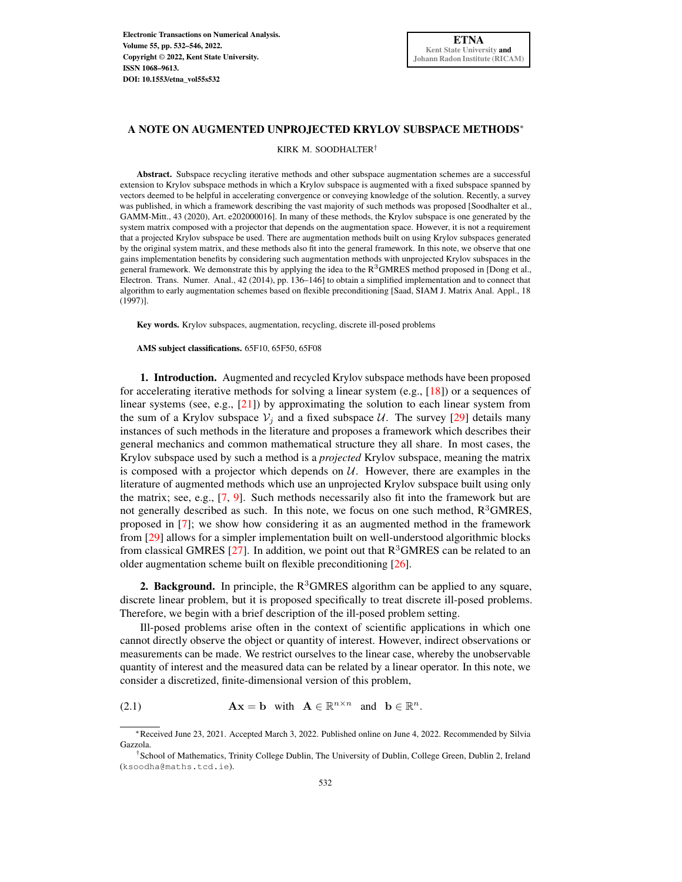## A NOTE ON AUGMENTED UNPROJECTED KRYLOV SUBSPACE METHODS<sup>∗</sup>

KIRK M. SOODHALTER†

Abstract. Subspace recycling iterative methods and other subspace augmentation schemes are a successful extension to Krylov subspace methods in which a Krylov subspace is augmented with a fixed subspace spanned by vectors deemed to be helpful in accelerating convergence or conveying knowledge of the solution. Recently, a survey was published, in which a framework describing the vast majority of such methods was proposed [Soodhalter et al., GAMM-Mitt., 43 (2020), Art. e202000016]. In many of these methods, the Krylov subspace is one generated by the system matrix composed with a projector that depends on the augmentation space. However, it is not a requirement that a projected Krylov subspace be used. There are augmentation methods built on using Krylov subspaces generated by the original system matrix, and these methods also fit into the general framework. In this note, we observe that one gains implementation benefits by considering such augmentation methods with unprojected Krylov subspaces in the general framework. We demonstrate this by applying the idea to the  $R<sup>3</sup>$ GMRES method proposed in [Dong et al., Electron. Trans. Numer. Anal., 42 (2014), pp. 136–146] to obtain a simplified implementation and to connect that algorithm to early augmentation schemes based on flexible preconditioning [Saad, SIAM J. Matrix Anal. Appl., 18 (1997)].

Key words. Krylov subspaces, augmentation, recycling, discrete ill-posed problems

AMS subject classifications. 65F10, 65F50, 65F08

1. Introduction. Augmented and recycled Krylov subspace methods have been proposed for accelerating iterative methods for solving a linear system (e.g.,  $[18]$ ) or a sequences of linear systems (see, e.g., [\[21\]](#page-14-0)) by approximating the solution to each linear system from the sum of a Krylov subspace  $V_i$  and a fixed subspace U. The survey [\[29\]](#page-14-1) details many instances of such methods in the literature and proposes a framework which describes their general mechanics and common mathematical structure they all share. In most cases, the Krylov subspace used by such a method is a *projected* Krylov subspace, meaning the matrix is composed with a projector which depends on  $U$ . However, there are examples in the literature of augmented methods which use an unprojected Krylov subspace built using only the matrix; see, e.g., [\[7,](#page-13-1) [9\]](#page-13-2). Such methods necessarily also fit into the framework but are not generally described as such. In this note, we focus on one such method,  $R<sup>3</sup>GMRES$ , proposed in [\[7\]](#page-13-1); we show how considering it as an augmented method in the framework from [\[29\]](#page-14-1) allows for a simpler implementation built on well-understood algorithmic blocks from classical GMRES [\[27\]](#page-14-2). In addition, we point out that  $R<sup>3</sup>GMRES$  can be related to an older augmentation scheme built on flexible preconditioning [\[26\]](#page-14-3).

2. Background. In principle, the  $R<sup>3</sup>GMRES$  algorithm can be applied to any square, discrete linear problem, but it is proposed specifically to treat discrete ill-posed problems. Therefore, we begin with a brief description of the ill-posed problem setting.

Ill-posed problems arise often in the context of scientific applications in which one cannot directly observe the object or quantity of interest. However, indirect observations or measurements can be made. We restrict ourselves to the linear case, whereby the unobservable quantity of interest and the measured data can be related by a linear operator. In this note, we consider a discretized, finite-dimensional version of this problem,

<span id="page-0-0"></span>(2.1)  $\mathbf{A}\mathbf{x} = \mathbf{b}$  with  $\mathbf{A} \in \mathbb{R}^{n \times n}$  and  $\mathbf{b} \in \mathbb{R}^n$ .

<sup>∗</sup>Received June 23, 2021. Accepted March 3, 2022. Published online on June 4, 2022. Recommended by Silvia Gazzola.

<sup>†</sup>School of Mathematics, Trinity College Dublin, The University of Dublin, College Green, Dublin 2, Ireland (ksoodha@maths.tcd.ie).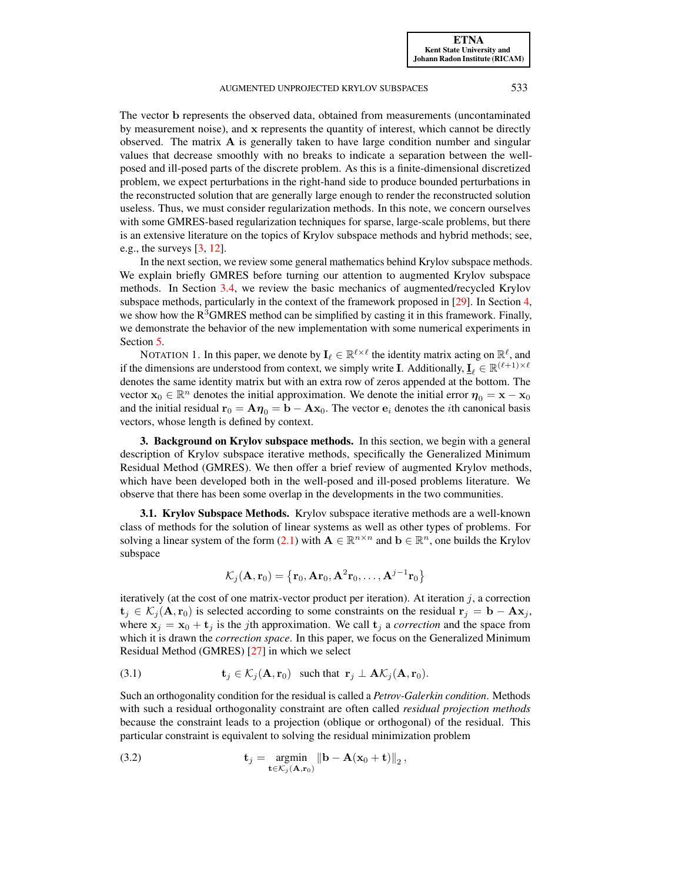The vector b represents the observed data, obtained from measurements (uncontaminated by measurement noise), and x represents the quantity of interest, which cannot be directly observed. The matrix A is generally taken to have large condition number and singular values that decrease smoothly with no breaks to indicate a separation between the wellposed and ill-posed parts of the discrete problem. As this is a finite-dimensional discretized problem, we expect perturbations in the right-hand side to produce bounded perturbations in the reconstructed solution that are generally large enough to render the reconstructed solution useless. Thus, we must consider regularization methods. In this note, we concern ourselves with some GMRES-based regularization techniques for sparse, large-scale problems, but there is an extensive literature on the topics of Krylov subspace methods and hybrid methods; see, e.g., the surveys [\[3,](#page-13-3) [12\]](#page-13-4).

In the next section, we review some general mathematics behind Krylov subspace methods. We explain briefly GMRES before turning our attention to augmented Krylov subspace methods. In Section [3.4,](#page-3-0) we review the basic mechanics of augmented/recycled Krylov subspace methods, particularly in the context of the framework proposed in [\[29\]](#page-14-1). In Section [4,](#page-5-0) we show how the  $R<sup>3</sup>GMRES$  method can be simplified by casting it in this framework. Finally, we demonstrate the behavior of the new implementation with some numerical experiments in Section [5.](#page-11-0)

NOTATION 1. In this paper, we denote by  $\mathbf{I}_{\ell} \in \mathbb{R}^{\ell \times \ell}$  the identity matrix acting on  $\mathbb{R}^{\ell}$ , and if the dimensions are understood from context, we simply write **I**. Additionally,  $\mathbf{I}_{\ell} \in \mathbb{R}^{(\ell+1)\times \ell}$ denotes the same identity matrix but with an extra row of zeros appended at the bottom. The vector  $x_0 \in \mathbb{R}^n$  denotes the initial approximation. We denote the initial error  $\eta_0 = x - x_0$ and the initial residual  $\mathbf{r}_0 = \mathbf{A}\boldsymbol{\eta}_0 = \mathbf{b} - \mathbf{A}\mathbf{x}_0$ . The vector  $\mathbf{e}_i$  denotes the *i*th canonical basis vectors, whose length is defined by context.

**3. Background on Krylov subspace methods.** In this section, we begin with a general description of Krylov subspace iterative methods, specifically the Generalized Minimum Residual Method (GMRES). We then offer a brief review of augmented Krylov methods, which have been developed both in the well-posed and ill-posed problems literature. We observe that there has been some overlap in the developments in the two communities.

3.1. Krylov Subspace Methods. Krylov subspace iterative methods are a well-known class of methods for the solution of linear systems as well as other types of problems. For solving a linear system of the form [\(2.1\)](#page-0-0) with  $A \in \mathbb{R}^{n \times n}$  and  $b \in \mathbb{R}^n$ , one builds the Krylov subspace

<span id="page-1-1"></span><span id="page-1-0"></span>
$$
\mathcal{K}_j(\mathbf{A}, \mathbf{r}_0) = \left\{\mathbf{r}_0, \mathbf{A} \mathbf{r}_0, \mathbf{A}^2 \mathbf{r}_0, \ldots, \mathbf{A}^{j-1} \mathbf{r}_0 \right\}
$$

iteratively (at the cost of one matrix-vector product per iteration). At iteration  $j$ , a correction  $t_j \in \mathcal{K}_j(A, r_0)$  is selected according to some constraints on the residual  $r_j = b - Ax_j$ , where  $x_j = x_0 + t_j$  is the *j*th approximation. We call  $t_j$  a *correction* and the space from which it is drawn the *correction space*. In this paper, we focus on the Generalized Minimum Residual Method (GMRES) [\[27\]](#page-14-2) in which we select

(3.1) 
$$
\mathbf{t}_j \in \mathcal{K}_j(\mathbf{A}, \mathbf{r}_0) \text{ such that } \mathbf{r}_j \perp \mathbf{A} \mathcal{K}_j(\mathbf{A}, \mathbf{r}_0).
$$

Such an orthogonality condition for the residual is called a *Petrov-Galerkin condition*. Methods with such a residual orthogonality constraint are often called *residual projection methods* because the constraint leads to a projection (oblique or orthogonal) of the residual. This particular constraint is equivalent to solving the residual minimization problem

(3.2) 
$$
\mathbf{t}_j = \operatorname*{argmin}_{\mathbf{t} \in \mathcal{K}_j(\mathbf{A}, \mathbf{r}_0)} \|\mathbf{b} - \mathbf{A}(\mathbf{x}_0 + \mathbf{t})\|_2,
$$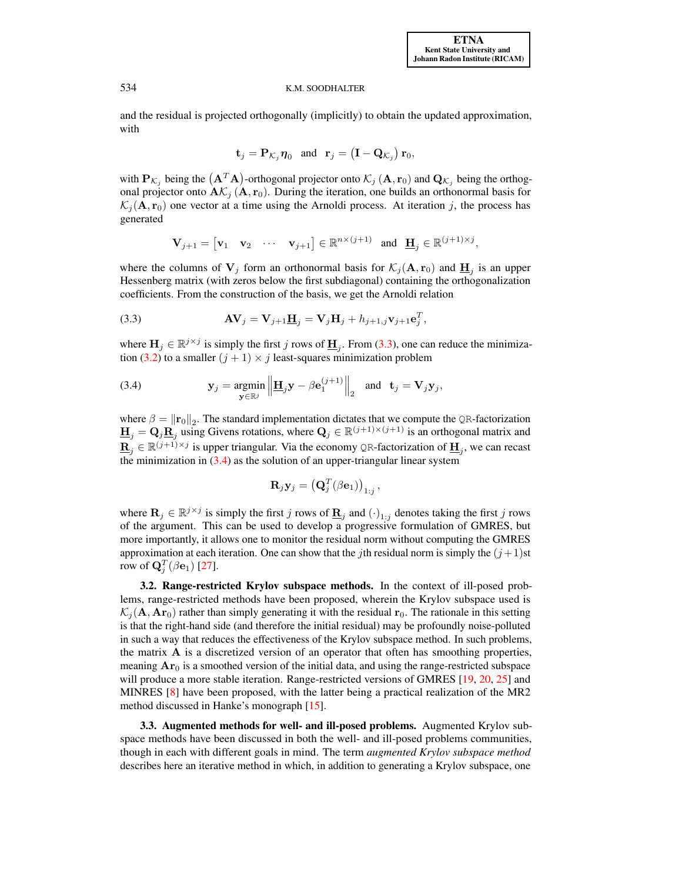and the residual is projected orthogonally (implicitly) to obtain the updated approximation, with

<span id="page-2-0"></span>
$$
\mathbf{t}_j = \mathbf{P}_{\mathcal{K}_j} \boldsymbol{\eta}_0 \quad \text{and} \quad \mathbf{r}_j = \left(\mathbf{I} - \mathbf{Q}_{\mathcal{K}_j}\right) \mathbf{r}_0,
$$

with  $P_{\mathcal{K}_j}$  being the  $(A^T A)$ -orthogonal projector onto  $\mathcal{K}_j(A, r_0)$  and  $Q_{\mathcal{K}_j}$  being the orthogonal projector onto  $A\mathcal{K}_j(A, r_0)$ . During the iteration, one builds an orthonormal basis for  $\mathcal{K}_j(\mathbf{A}, \mathbf{r}_0)$  one vector at a time using the Arnoldi process. At iteration j, the process has generated

$$
\mathbf{V}_{j+1} = \begin{bmatrix} \mathbf{v}_1 & \mathbf{v}_2 & \cdots & \mathbf{v}_{j+1} \end{bmatrix} \in \mathbb{R}^{n \times (j+1)} \text{ and } \mathbf{H}_j \in \mathbb{R}^{(j+1) \times j},
$$

where the columns of  $V_j$  form an orthonormal basis for  $\mathcal{K}_j(\mathbf{A}, \mathbf{r}_0)$  and  $\underline{\mathbf{H}}_j$  is an upper Hessenberg matrix (with zeros below the first subdiagonal) containing the orthogonalization coefficients. From the construction of the basis, we get the Arnoldi relation

(3.3) 
$$
\mathbf{A}\mathbf{V}_{j} = \mathbf{V}_{j+1}\underline{\mathbf{H}}_{j} = \mathbf{V}_{j}\mathbf{H}_{j} + h_{j+1,j}\mathbf{v}_{j+1}\mathbf{e}_{j}^{T},
$$

where  $\mathbf{H}_j \in \mathbb{R}^{j \times j}$  is simply the first j rows of  $\underline{\mathbf{H}}_j$ . From [\(3.3\)](#page-2-0), one can reduce the minimiza-tion [\(3.2\)](#page-1-0) to a smaller  $(j + 1) \times j$  least-squares minimization problem

(3.4) 
$$
\mathbf{y}_{j} = \underset{\mathbf{y} \in \mathbb{R}^{j}}{\operatorname{argmin}} \left\| \underline{\mathbf{H}}_{j} \mathbf{y} - \beta \mathbf{e}_{1}^{(j+1)} \right\|_{2} \text{ and } \mathbf{t}_{j} = \mathbf{V}_{j} \mathbf{y}_{j},
$$

where  $\beta = ||\mathbf{r}_0||_2$ . The standard implementation dictates that we compute the QR-factorization  $\underline{\mathbf{H}}_j = \mathbf{Q}_j \underline{\mathbf{R}}_j$  using Givens rotations, where  $\mathbf{Q}_j \in \mathbb{R}^{(j+1)\times(j+1)}$  is an orthogonal matrix and  $\underline{\mathbf{R}}_j \in \mathbb{R}^{(j+1)\times j}$  is upper triangular. Via the economy QR-factorization of  $\underline{\mathbf{H}}_j$ , we can recast the minimization in  $(3.4)$  as the solution of an upper-triangular linear system

<span id="page-2-1"></span>
$$
\mathbf{R}_j \mathbf{y}_j = \left( \mathbf{Q}^T_j(\beta \mathbf{e}_1) \right)_{1:j},
$$

where  $\mathbf{R}_j \in \mathbb{R}^{j \times j}$  is simply the first j rows of  $\underline{\mathbf{R}}_j$  and  $(\cdot)_{1:j}$  denotes taking the first j rows of the argument. This can be used to develop a progressive formulation of GMRES, but more importantly, it allows one to monitor the residual norm without computing the GMRES approximation at each iteration. One can show that the jth residual norm is simply the  $(j+1)$ st row of  $\mathbf{Q}_{j}^{T}(\beta\mathbf{e}_{1})$  [\[27\]](#page-14-2).

3.2. Range-restricted Krylov subspace methods. In the context of ill-posed problems, range-restricted methods have been proposed, wherein the Krylov subspace used is  $\mathcal{K}_i$  (A, Ar<sub>0</sub>) rather than simply generating it with the residual r<sub>0</sub>. The rationale in this setting is that the right-hand side (and therefore the initial residual) may be profoundly noise-polluted in such a way that reduces the effectiveness of the Krylov subspace method. In such problems, the matrix A is a discretized version of an operator that often has smoothing properties, meaning  $Ar_0$  is a smoothed version of the initial data, and using the range-restricted subspace will produce a more stable iteration. Range-restricted versions of GMRES [\[19,](#page-13-5) [20,](#page-14-4) [25\]](#page-14-5) and MINRES [\[8\]](#page-13-6) have been proposed, with the latter being a practical realization of the MR2 method discussed in Hanke's monograph [\[15\]](#page-13-7).

3.3. Augmented methods for well- and ill-posed problems. Augmented Krylov subspace methods have been discussed in both the well- and ill-posed problems communities, though in each with different goals in mind. The term *augmented Krylov subspace method* describes here an iterative method in which, in addition to generating a Krylov subspace, one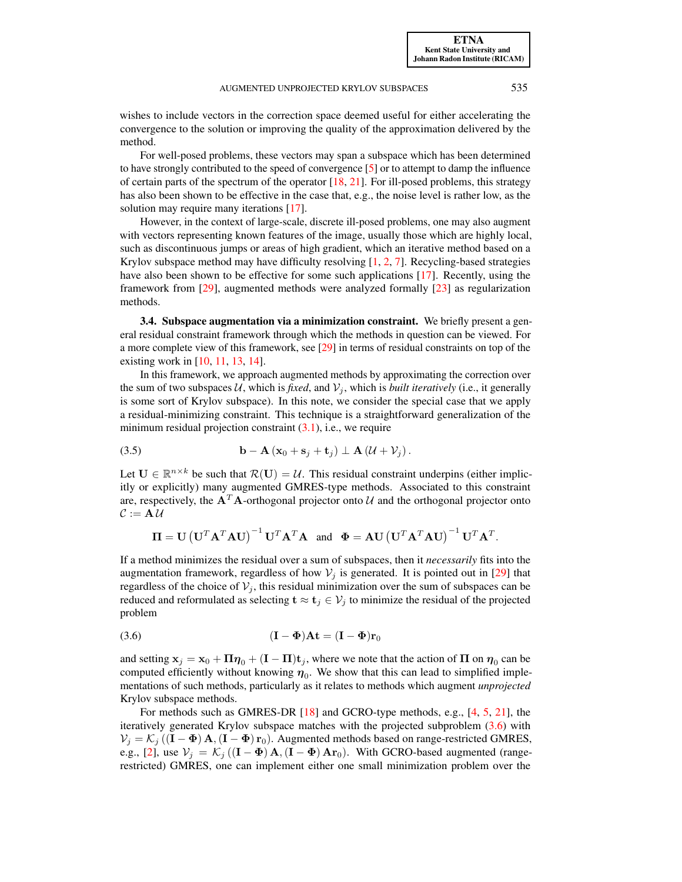[ETNA](http://etna.ricam.oeaw.ac.at) [Kent State University and](http://www.kent.edu) [Johann Radon Institute \(RICAM\)](http://www.ricam.oeaw.ac.at)

wishes to include vectors in the correction space deemed useful for either accelerating the convergence to the solution or improving the quality of the approximation delivered by the method.

For well-posed problems, these vectors may span a subspace which has been determined to have strongly contributed to the speed of convergence  $[5]$  or to attempt to damp the influence of certain parts of the spectrum of the operator  $[18, 21]$  $[18, 21]$  $[18, 21]$ . For ill-posed problems, this strategy has also been shown to be effective in the case that, e.g., the noise level is rather low, as the solution may require many iterations [\[17\]](#page-13-9).

However, in the context of large-scale, discrete ill-posed problems, one may also augment with vectors representing known features of the image, usually those which are highly local, such as discontinuous jumps or areas of high gradient, which an iterative method based on a Krylov subspace method may have difficulty resolving  $[1, 2, 7]$  $[1, 2, 7]$  $[1, 2, 7]$  $[1, 2, 7]$  $[1, 2, 7]$ . Recycling-based strategies have also been shown to be effective for some such applications [\[17\]](#page-13-9). Recently, using the framework from [\[29\]](#page-14-1), augmented methods were analyzed formally [\[23\]](#page-14-6) as regularization methods.

<span id="page-3-0"></span>3.4. Subspace augmentation via a minimization constraint. We briefly present a general residual constraint framework through which the methods in question can be viewed. For a more complete view of this framework, see [\[29\]](#page-14-1) in terms of residual constraints on top of the existing work in [\[10,](#page-13-12) [11,](#page-13-13) [13,](#page-13-14) [14\]](#page-13-15).

In this framework, we approach augmented methods by approximating the correction over the sum of two subspaces  $U$ , which is *fixed*, and  $V_i$ , which is *built iteratively* (i.e., it generally is some sort of Krylov subspace). In this note, we consider the special case that we apply a residual-minimizing constraint. This technique is a straightforward generalization of the minimum residual projection constraint  $(3.1)$ , i.e., we require

(3.5) 
$$
\mathbf{b} - \mathbf{A} (\mathbf{x}_0 + \mathbf{s}_j + \mathbf{t}_j) \perp \mathbf{A} (\mathcal{U} + \mathcal{V}_j).
$$

Let  $U \in \mathbb{R}^{n \times k}$  be such that  $\mathcal{R}(U) = \mathcal{U}$ . This residual constraint underpins (either implicitly or explicitly) many augmented GMRES-type methods. Associated to this constraint are, respectively, the  $A<sup>T</sup>A$ -orthogonal projector onto  $U$  and the orthogonal projector onto  $C := A U$ 

<span id="page-3-2"></span>
$$
\mathbf{\Pi} = \mathbf{U} (\mathbf{U}^T \mathbf{A}^T \mathbf{A} \mathbf{U})^{-1} \mathbf{U}^T \mathbf{A}^T \mathbf{A} \text{ and } \Phi = \mathbf{A} \mathbf{U} (\mathbf{U}^T \mathbf{A}^T \mathbf{A} \mathbf{U})^{-1} \mathbf{U}^T \mathbf{A}^T.
$$

If a method minimizes the residual over a sum of subspaces, then it *necessarily* fits into the augmentation framework, regardless of how  $V_i$  is generated. It is pointed out in [\[29\]](#page-14-1) that regardless of the choice of  $V_i$ , this residual minimization over the sum of subspaces can be reduced and reformulated as selecting  $\mathbf{t} \approx \mathbf{t}_j \in V_j$  to minimize the residual of the projected problem

<span id="page-3-1"></span>(3.6) 
$$
(\mathbf{I} - \mathbf{\Phi})\mathbf{A}\mathbf{t} = (\mathbf{I} - \mathbf{\Phi})\mathbf{r}_0
$$

and setting  $x_j = x_0 + \Pi \eta_0 + (I - \Pi)t_j$ , where we note that the action of  $\Pi$  on  $\eta_0$  can be computed efficiently without knowing  $\eta_0$ . We show that this can lead to simplified implementations of such methods, particularly as it relates to methods which augment *unprojected* Krylov subspace methods.

For methods such as GMRES-DR [\[18\]](#page-13-0) and GCRO-type methods, e.g., [\[4,](#page-13-16) [5,](#page-13-8) [21\]](#page-14-0), the iteratively generated Krylov subspace matches with the projected subproblem [\(3.6\)](#page-3-1) with  $V_j = K_j ((\mathbf{I} - \mathbf{\Phi}) \mathbf{A}, (\mathbf{I} - \mathbf{\Phi}) \mathbf{r}_0)$ . Augmented methods based on range-restricted GMRES, e.g., [\[2\]](#page-13-11), use  $V_j = \mathcal{K}_j ((\mathbf{I} - \mathbf{\Phi}) \mathbf{A}, (\mathbf{I} - \mathbf{\Phi}) \mathbf{A} \mathbf{r}_0)$ . With GCRO-based augmented (rangerestricted) GMRES, one can implement either one small minimization problem over the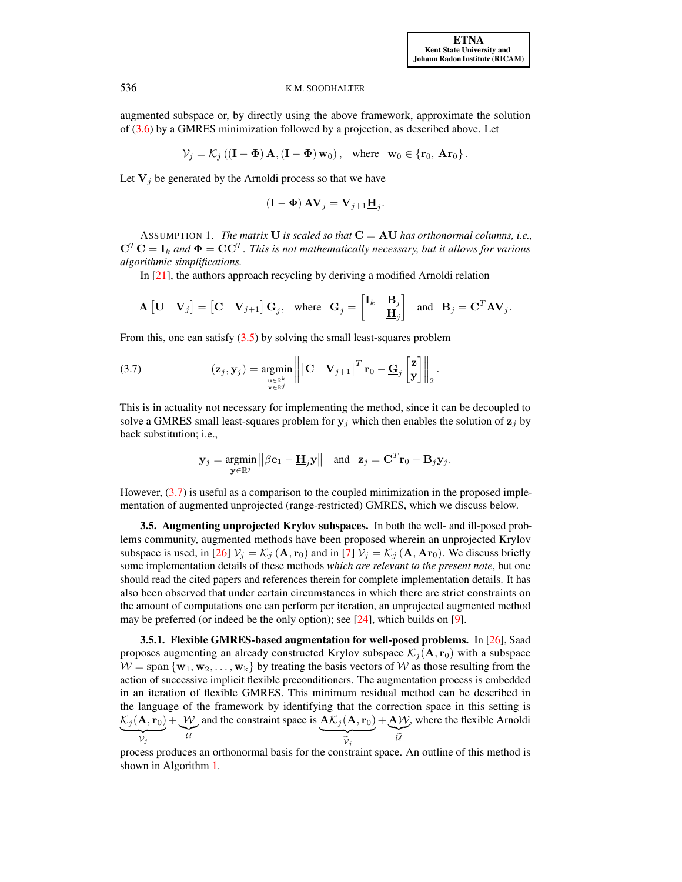augmented subspace or, by directly using the above framework, approximate the solution of [\(3.6\)](#page-3-1) by a GMRES minimization followed by a projection, as described above. Let

$$
\mathcal{V}_j = \mathcal{K}_j \left( (\mathbf{I} - \mathbf{\Phi}) \mathbf{A}, (\mathbf{I} - \mathbf{\Phi}) \mathbf{w}_0 \right), \text{ where } \mathbf{w}_0 \in \{ \mathbf{r}_0, \mathbf{A} \mathbf{r}_0 \}.
$$

Let  $V_i$  be generated by the Arnoldi process so that we have

<span id="page-4-0"></span>
$$
(\mathbf{I} - \mathbf{\Phi}) \mathbf{A} \mathbf{V}_j = \mathbf{V}_{j+1} \underline{\mathbf{H}}_j.
$$

<span id="page-4-1"></span>ASSUMPTION 1. *The matrix* **U** *is scaled so that*  $C = AU$  *has orthonormal columns, i.e.,*  ${\bf C}^T{\bf C}={\bf I}_k$  and  ${\bf \Phi}={\bf C} {\bf C}^T.$  This is not mathematically necessary, but it allows for various *algorithmic simplifications.*

In [\[21\]](#page-14-0), the authors approach recycling by deriving a modified Arnoldi relation

$$
\mathbf{A} \begin{bmatrix} \mathbf{U} & \mathbf{V}_j \end{bmatrix} = \begin{bmatrix} \mathbf{C} & \mathbf{V}_{j+1} \end{bmatrix} \underline{\mathbf{G}}_j, \text{ where } \underline{\mathbf{G}}_j = \begin{bmatrix} \mathbf{I}_k & \mathbf{B}_j \\ & \underline{\mathbf{H}}_j \end{bmatrix} \text{ and } \mathbf{B}_j = \mathbf{C}^T \mathbf{A} \mathbf{V}_j.
$$

From this, one can satisfy  $(3.5)$  by solving the small least-squares problem

(3.7) 
$$
(\mathbf{z}_{j}, \mathbf{y}_{j}) = \underset{\substack{\mathbf{u} \in \mathbb{R}^{k} \\ \mathbf{v} \in \mathbb{R}^{j}}}{\arg \min} \left\| \begin{bmatrix} \mathbf{C} & \mathbf{V}_{j+1} \end{bmatrix}^{T} \mathbf{r}_{0} - \underline{\mathbf{G}}_{j} \begin{bmatrix} \mathbf{z} \\ \mathbf{y} \end{bmatrix} \right\|_{2}.
$$

This is in actuality not necessary for implementing the method, since it can be decoupled to solve a GMRES small least-squares problem for  $y_j$  which then enables the solution of  $z_j$  by back substitution; i.e.,

$$
\mathbf{y}_j = \underset{\mathbf{y} \in \mathbb{R}^j}{\text{argmin}} \left\| \beta \mathbf{e}_1 - \underline{\mathbf{H}}_j \mathbf{y} \right\| \text{ and } \mathbf{z}_j = \mathbf{C}^T \mathbf{r}_0 - \mathbf{B}_j \mathbf{y}_j.
$$

However, [\(3.7\)](#page-4-0) is useful as a comparison to the coupled minimization in the proposed implementation of augmented unprojected (range-restricted) GMRES, which we discuss below.

3.5. Augmenting unprojected Krylov subspaces. In both the well- and ill-posed problems community, augmented methods have been proposed wherein an unprojected Krylov subspace is used, in [\[26\]](#page-14-3)  $V_j = K_j (\mathbf{A}, \mathbf{r}_0)$  and in [\[7\]](#page-13-1)  $V_j = K_j (\mathbf{A}, \mathbf{Ar}_0)$ . We discuss briefly some implementation details of these methods *which are relevant to the present note*, but one should read the cited papers and references therein for complete implementation details. It has also been observed that under certain circumstances in which there are strict constraints on the amount of computations one can perform per iteration, an unprojected augmented method may be preferred (or indeed be the only option); see [\[24\]](#page-14-7), which builds on [\[9\]](#page-13-2).

3.5.1. Flexible GMRES-based augmentation for well-posed problems. In [\[26\]](#page-14-3), Saad proposes augmenting an already constructed Krylov subspace  $\mathcal{K}_i$  (A, r<sub>0</sub>) with a subspace  $W = \text{span}\{\mathbf{w}_1, \mathbf{w}_2, \dots, \mathbf{w}_k\}$  by treating the basis vectors of W as those resulting from the action of successive implicit flexible preconditioners. The augmentation process is embedded in an iteration of flexible GMRES. This minimum residual method can be described in the language of the framework by identifying that the correction space in this setting is  $\mathcal{K}_j(\mathbf{A}, \mathbf{r}_0)$  $\overline{v_j}$  $^{+}$  $\widetilde{u}$  $\mathcal W$  $\mathcal{U}$ and the constraint space is  $\mathbf{A}\mathcal{K}_j(\mathbf{A}, \mathbf{r}_0)$  ${\widetilde{\tilde{\nu}}_j}$  $+\underbrace{AV}_{\widetilde{U}}$ , where the flexible Arnoldi

process produces an orthonormal basis for the constraint space. An outline of this method is shown in Algorithm [1.](#page-5-1)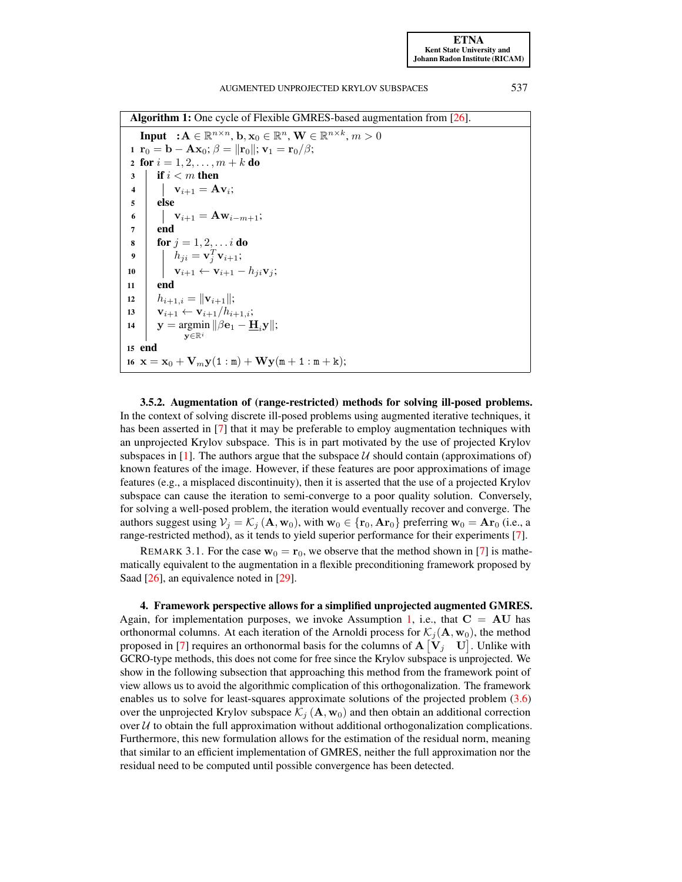Algorithm 1: One cycle of Flexible GMRES-based augmentation from [\[26\]](#page-14-3).

<span id="page-5-1"></span>**Input**  $: A \in \mathbb{R}^{n \times n}$ ,  $\mathbf{b}, \mathbf{x}_0 \in \mathbb{R}^n$ ,  $\mathbf{W} \in \mathbb{R}^{n \times k}$ ,  $m > 0$ 1  $\mathbf{r}_0 = \mathbf{b} - \mathbf{A}\mathbf{x}_0; \beta = ||\mathbf{r}_0||; \mathbf{v}_1 = \mathbf{r}_0/\beta;$ 2 for  $i = 1, 2, ..., m + k$  do  $3 \mid \textbf{if } i < m \textbf{ then}$  $\begin{array}{|c|c|} \hline \textbf{4} & \textbf{1} & \textbf{v}_{i+1}=\textbf{A}\textbf{v}_{i}; \hline \end{array}$ 5 else 6 |  $\mathbf{v}_{i+1} = \mathbf{A}\mathbf{w}_{i-m+1};$  $7 \mid end$ 8 **for**  $j = 1, 2, ... i$  do  $\mathbf{9}$   $\begin{array}{|c} \hline \end{array}$   $h_{ji} = \mathbf{v}_j^T \mathbf{v}_{i+1};$ 10  $\vert \mathbf{v}_{i+1} \leftarrow \mathbf{v}_{i+1} - h_{ji} \mathbf{v}_j;$  $11$  end 12  $|h_{i+1,i} = ||\mathbf{v}_{i+1}||;$ 13  $\mathbf{v}_{i+1} \leftarrow \mathbf{v}_{i+1}/h_{i+1,i};$ 14  $\boldsymbol{y} = \arg\!\min \|\beta \mathbf{e}_1 - \mathbf{H}_i \mathbf{y}\|;$  $\mathbf{v} \in \mathbb{R}^i$ 15 end 16  $\mathbf{x} = \mathbf{x}_0 + \mathbf{V}_m \mathbf{y} (1 : \mathbf{m}) + \mathbf{W} \mathbf{y} (\mathbf{m} + 1 : \mathbf{m} + \mathbf{k});$ 

3.5.2. Augmentation of (range-restricted) methods for solving ill-posed problems. In the context of solving discrete ill-posed problems using augmented iterative techniques, it has been asserted in [\[7\]](#page-13-1) that it may be preferable to employ augmentation techniques with an unprojected Krylov subspace. This is in part motivated by the use of projected Krylov subspaces in [\[1\]](#page-13-10). The authors argue that the subspace  $U$  should contain (approximations of) known features of the image. However, if these features are poor approximations of image features (e.g., a misplaced discontinuity), then it is asserted that the use of a projected Krylov subspace can cause the iteration to semi-converge to a poor quality solution. Conversely, for solving a well-posed problem, the iteration would eventually recover and converge. The authors suggest using  $V_j = \mathcal{K}_j (\mathbf{A}, \mathbf{w}_0)$ , with  $\mathbf{w}_0 \in {\mathbf{r}_0, \mathbf{Ar}_0}$  preferring  $\mathbf{w}_0 = \mathbf{Ar}_0$  (i.e., a range-restricted method), as it tends to yield superior performance for their experiments [\[7\]](#page-13-1).

REMARK 3.1. For the case  $w_0 = r_0$ , we observe that the method shown in [\[7\]](#page-13-1) is mathematically equivalent to the augmentation in a flexible preconditioning framework proposed by Saad [\[26\]](#page-14-3), an equivalence noted in [\[29\]](#page-14-1).

<span id="page-5-0"></span>4. Framework perspective allows for a simplified unprojected augmented GMRES. Again, for implementation purposes, we invoke Assumption [1,](#page-4-1) i.e., that  $C = AU$  has orthonormal columns. At each iteration of the Arnoldi process for  $\mathcal{K}_i(\mathbf{A}, \mathbf{w}_0)$ , the method proposed in [\[7\]](#page-13-1) requires an orthonormal basis for the columns of  $A[V_j \quad U]$ . Unlike with GCRO-type methods, this does not come for free since the Krylov subspace is unprojected. We show in the following subsection that approaching this method from the framework point of view allows us to avoid the algorithmic complication of this orthogonalization. The framework enables us to solve for least-squares approximate solutions of the projected problem [\(3.6\)](#page-3-1) over the unprojected Krylov subspace  $\mathcal{K}_j (\mathbf{A}, \mathbf{w}_0)$  and then obtain an additional correction over  $U$  to obtain the full approximation without additional orthogonalization complications. Furthermore, this new formulation allows for the estimation of the residual norm, meaning that similar to an efficient implementation of GMRES, neither the full approximation nor the residual need to be computed until possible convergence has been detected.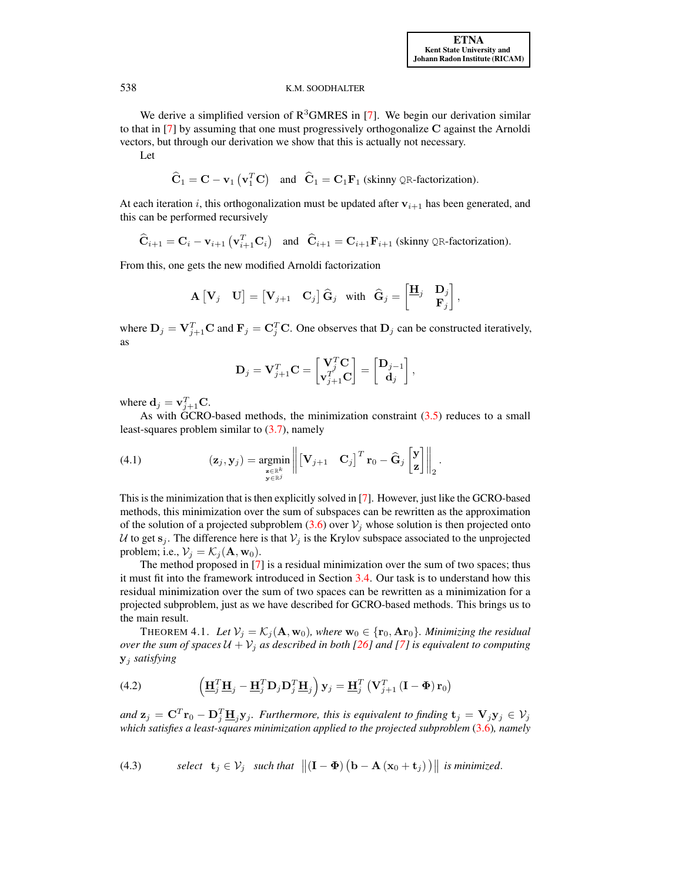We derive a simplified version of  $R<sup>3</sup>GMRES$  in [\[7\]](#page-13-1). We begin our derivation similar to that in [\[7\]](#page-13-1) by assuming that one must progressively orthogonalize C against the Arnoldi vectors, but through our derivation we show that this is actually not necessary.

Let

$$
\hat{\mathbf{C}}_1 = \mathbf{C} - \mathbf{v}_1 (\mathbf{v}_1^T \mathbf{C})
$$
 and  $\hat{\mathbf{C}}_1 = \mathbf{C}_1 \mathbf{F}_1$  (skinny QR-factorization).

At each iteration i, this orthogonalization must be updated after  $v_{i+1}$  has been generated, and this can be performed recursively

$$
\widehat{\mathbf{C}}_{i+1} = \mathbf{C}_i - \mathbf{v}_{i+1} \left( \mathbf{v}_{i+1}^T \mathbf{C}_i \right) \quad \text{and} \quad \widehat{\mathbf{C}}_{i+1} = \mathbf{C}_{i+1} \mathbf{F}_{i+1} \text{ (skinny QR-factorization)}.
$$

From this, one gets the new modified Arnoldi factorization

$$
\mathbf{A}\begin{bmatrix} \mathbf{V}_j & \mathbf{U} \end{bmatrix} = \begin{bmatrix} \mathbf{V}_{j+1} & \mathbf{C}_j \end{bmatrix} \hat{\mathbf{G}}_j \text{ with } \hat{\mathbf{G}}_j = \begin{bmatrix} \mathbf{H}_j & \mathbf{D}_j \\ \mathbf{F}_j \end{bmatrix},
$$

where  $D_j = V_{j+1}^T C$  and  $F_j = C_j^T C$ . One observes that  $D_j$  can be constructed iteratively, as

<span id="page-6-0"></span>
$$
\mathbf{D}_j = \mathbf{V}_{j+1}^T \mathbf{C} = \begin{bmatrix} \mathbf{V}_j^T \mathbf{C} \\ \mathbf{v}_{j+1}^T \mathbf{C} \end{bmatrix} = \begin{bmatrix} \mathbf{D}_{j-1} \\ \mathbf{d}_j \end{bmatrix},
$$

where  $\mathbf{d}_j = \mathbf{v}_{j+1}^T \mathbf{C}$ .

As with GCRO-based methods, the minimization constraint  $(3.5)$  reduces to a small least-squares problem similar to [\(3.7\)](#page-4-0), namely

(4.1) 
$$
(\mathbf{z}_{j}, \mathbf{y}_{j}) = \underset{\substack{\mathbf{z} \in \mathbb{R}^{k} \\ \mathbf{y} \in \mathbb{R}^{j}}}{\operatorname{argmin}} \left\| \begin{bmatrix} \mathbf{V}_{j+1} & \mathbf{C}_{j} \end{bmatrix}^{T} \mathbf{r}_{0} - \widehat{\mathbf{G}}_{j} \begin{bmatrix} \mathbf{y} \\ \mathbf{z} \end{bmatrix} \right\|_{2}.
$$

This is the minimization that is then explicitly solved in [\[7\]](#page-13-1). However, just like the GCRO-based methods, this minimization over the sum of subspaces can be rewritten as the approximation of the solution of a projected subproblem [\(3.6\)](#page-3-1) over  $V_j$  whose solution is then projected onto U to get  $s_j$ . The difference here is that  $V_j$  is the Krylov subspace associated to the unprojected problem; i.e.,  $V_i = \mathcal{K}_i(\mathbf{A}, \mathbf{w}_0)$ .

The method proposed in [\[7\]](#page-13-1) is a residual minimization over the sum of two spaces; thus it must fit into the framework introduced in Section [3.4.](#page-3-0) Our task is to understand how this residual minimization over the sum of two spaces can be rewritten as a minimization for a projected subproblem, just as we have described for GCRO-based methods. This brings us to the main result.

<span id="page-6-3"></span><span id="page-6-2"></span>THEOREM 4.1. Let  $V_i = K_i$  ( $\mathbf{A}, \mathbf{w}_0$ )*, where*  $\mathbf{w}_0 \in {\mathbf{r}_0, \mathbf{Ar}_0}$ *. Minimizing the residual over the sum of spaces*  $U + V_i$  *as described in both [\[26\]](#page-14-3) and [\[7\]](#page-13-1) is equivalent to computing* y<sup>j</sup> *satisfying*

(4.2) 
$$
\left(\underline{\mathbf{H}}_j^T \underline{\mathbf{H}}_j - \underline{\mathbf{H}}_j^T \mathbf{D}_j \mathbf{D}_j^T \underline{\mathbf{H}}_j\right) \mathbf{y}_j = \underline{\mathbf{H}}_j^T \left(\mathbf{V}_{j+1}^T \left(\mathbf{I} - \mathbf{\Phi}\right) \mathbf{r}_0\right)
$$

<span id="page-6-1"></span>and  $\mathbf{z}_j = \mathbf{C}^T \mathbf{r}_0 - \mathbf{D}_j^T \underline{\mathbf{H}}_j \mathbf{y}_j$ *. Furthermore, this is equivalent to finding*  $\mathbf{t}_j = \mathbf{V}_j \mathbf{y}_j \in \mathcal{V}_j$ *which satisfies a least-squares minimization applied to the projected subproblem* [\(3.6\)](#page-3-1)*, namely*

(4.3) select 
$$
\mathbf{t}_j \in \mathcal{V}_j
$$
 such that  $||(\mathbf{I} - \mathbf{\Phi})(\mathbf{b} - \mathbf{A}(\mathbf{x}_0 + \mathbf{t}_j))||$  is minimized.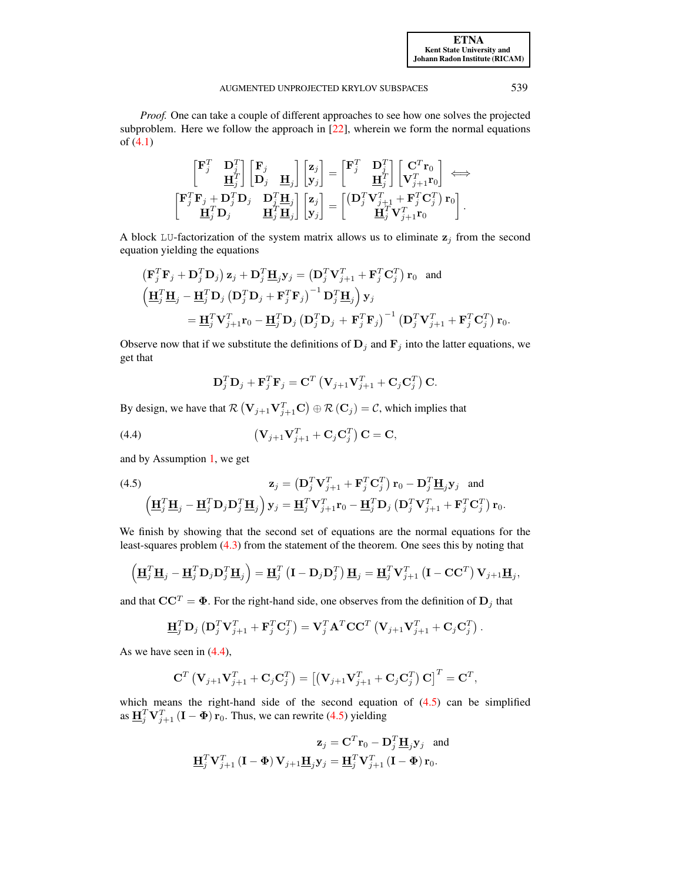*Proof.* One can take a couple of different approaches to see how one solves the projected subproblem. Here we follow the approach in [\[22\]](#page-14-8), wherein we form the normal equations of [\(4.1\)](#page-6-0)

$$
\begin{bmatrix} \mathbf{F}_j^T & \mathbf{D}_j^T \\ & \mathbf{H}_j^T \end{bmatrix} \begin{bmatrix} \mathbf{F}_j \\ \mathbf{D}_j \end{bmatrix} \mathbf{H}_j \end{bmatrix} \begin{bmatrix} \mathbf{z}_j \\ \mathbf{y}_j \end{bmatrix} = \begin{bmatrix} \mathbf{F}_j^T & \mathbf{D}_j^T \\ & \mathbf{H}_j^T \end{bmatrix} \begin{bmatrix} \mathbf{C}^T \mathbf{r}_0 \\ \mathbf{V}_{j+1}^T \mathbf{r}_0 \end{bmatrix} \Longleftrightarrow \\ \begin{bmatrix} \mathbf{F}_j^T \mathbf{F}_j + \mathbf{D}_j^T \mathbf{D}_j & \mathbf{D}_j^T \mathbf{H}_j \\ & \mathbf{H}_j^T \mathbf{D}_j \end{bmatrix} \begin{bmatrix} \mathbf{z}_j \\ \mathbf{y}_j \end{bmatrix} = \begin{bmatrix} (\mathbf{D}_j^T \mathbf{V}_{j+1}^T + \mathbf{F}_j^T \mathbf{C}_j^T) \mathbf{r}_0 \\ & \mathbf{H}_j^T \mathbf{V}_{j+1}^T \mathbf{r}_0 \end{bmatrix}.
$$

A block LU-factorization of the system matrix allows us to eliminate  $z_j$  from the second equation yielding the equations

$$
\begin{split} \left(\mathbf{F}_{j}^{T}\mathbf{F}_{j} + \mathbf{D}_{j}^{T}\mathbf{D}_{j}\right) \mathbf{z}_{j} + \mathbf{D}_{j}^{T}\mathbf{\underline{H}}_{j}\mathbf{y}_{j} = \left(\mathbf{D}_{j}^{T}\mathbf{V}_{j+1}^{T} + \mathbf{F}_{j}^{T}\mathbf{C}_{j}^{T}\right)\mathbf{r}_{0} \quad \text{and} \\ \left(\mathbf{\underline{H}}_{j}^{T}\mathbf{\underline{H}}_{j} - \mathbf{\underline{H}}_{j}^{T}\mathbf{D}_{j}\left(\mathbf{D}_{j}^{T}\mathbf{D}_{j} + \mathbf{F}_{j}^{T}\mathbf{F}_{j}\right)^{-1}\mathbf{D}_{j}^{T}\mathbf{\underline{H}}_{j}\right)\mathbf{y}_{j} \\ = \mathbf{\underline{H}}_{j}^{T}\mathbf{V}_{j+1}^{T}\mathbf{r}_{0} - \mathbf{\underline{H}}_{j}^{T}\mathbf{D}_{j}\left(\mathbf{D}_{j}^{T}\mathbf{D}_{j} + \mathbf{F}_{j}^{T}\mathbf{F}_{j}\right)^{-1}\left(\mathbf{D}_{j}^{T}\mathbf{V}_{j+1}^{T} + \mathbf{F}_{j}^{T}\mathbf{C}_{j}^{T}\right)\mathbf{r}_{0}.\end{split}
$$

Observe now that if we substitute the definitions of  $D_j$  and  $F_j$  into the latter equations, we get that

<span id="page-7-0"></span>
$$
\mathbf{D}_{j}^{T} \mathbf{D}_{j} + \mathbf{F}_{j}^{T} \mathbf{F}_{j} = \mathbf{C}^{T} \left( \mathbf{V}_{j+1} \mathbf{V}_{j+1}^{T} + \mathbf{C}_{j} \mathbf{C}_{j}^{T} \right) \mathbf{C}.
$$

By design, we have that  $\mathcal{R}(\mathbf{V}_{j+1}\mathbf{V}_{j+1}^T\mathbf{C}) \oplus \mathcal{R}(\mathbf{C}_j) = \mathcal{C}$ , which implies that

(4.4) 
$$
\left(\mathbf{V}_{j+1}\mathbf{V}_{j+1}^T + \mathbf{C}_j\mathbf{C}_j^T\right)\mathbf{C} = \mathbf{C},
$$

and by Assumption [1,](#page-4-1) we get

<span id="page-7-1"></span>(4.5) 
$$
\mathbf{z}_{j} = \left(\mathbf{D}_{j}^{T}\mathbf{V}_{j+1}^{T} + \mathbf{F}_{j}^{T}\mathbf{C}_{j}^{T}\right)\mathbf{r}_{0} - \mathbf{D}_{j}^{T}\mathbf{\underline{H}}_{j}\mathbf{y}_{j} \text{ and}
$$

$$
\left(\mathbf{H}_{j}^{T}\mathbf{\underline{H}}_{j} - \mathbf{\underline{H}}_{j}^{T}\mathbf{D}_{j}\mathbf{D}_{j}^{T}\mathbf{\underline{H}}_{j}\right)\mathbf{y}_{j} = \mathbf{\underline{H}}_{j}^{T}\mathbf{V}_{j+1}^{T}\mathbf{r}_{0} - \mathbf{\underline{H}}_{j}^{T}\mathbf{D}_{j}\left(\mathbf{D}_{j}^{T}\mathbf{V}_{j+1}^{T} + \mathbf{F}_{j}^{T}\mathbf{C}_{j}^{T}\right)\mathbf{r}_{0}.
$$

We finish by showing that the second set of equations are the normal equations for the least-squares problem [\(4.3\)](#page-6-1) from the statement of the theorem. One sees this by noting that

$$
\left(\underline{\mathbf{H}}_j^T \underline{\mathbf{H}}_j - \underline{\mathbf{H}}_j^T \mathbf{D}_j \mathbf{D}_j^T \underline{\mathbf{H}}_j\right) = \underline{\mathbf{H}}_j^T \left(\mathbf{I} - \mathbf{D}_j \mathbf{D}_j^T\right) \underline{\mathbf{H}}_j = \underline{\mathbf{H}}_j^T \mathbf{V}_{j+1}^T \left(\mathbf{I} - \mathbf{C} \mathbf{C}^T\right) \mathbf{V}_{j+1} \underline{\mathbf{H}}_j,
$$

and that  $CC^T = \Phi$ . For the right-hand side, one observes from the definition of  $D_i$  that

$$
\underline{\mathbf{H}}_j^T \mathbf{D}_j \left( \mathbf{D}_j^T \mathbf{V}_{j+1}^T + \mathbf{F}_j^T \mathbf{C}_j^T \right) = \mathbf{V}_j^T \mathbf{A}^T \mathbf{C} \mathbf{C}^T \left( \mathbf{V}_{j+1} \mathbf{V}_{j+1}^T + \mathbf{C}_j \mathbf{C}_j^T \right).
$$

As we have seen in  $(4.4)$ ,

$$
\mathbf{C}^T \left( \mathbf{V}_{j+1} \mathbf{V}_{j+1}^T + \mathbf{C}_j \mathbf{C}_j^T \right) = \left[ \left( \mathbf{V}_{j+1} \mathbf{V}_{j+1}^T + \mathbf{C}_j \mathbf{C}_j^T \right) \mathbf{C} \right]^T = \mathbf{C}^T,
$$

which means the right-hand side of the second equation of  $(4.5)$  can be simplified as  $\underline{\mathbf{H}}_j^T \mathbf{V}_{j+1}^T (\mathbf{I} - \mathbf{\Phi}) \mathbf{r}_0$ . Thus, we can rewrite [\(4.5\)](#page-7-1) yielding

$$
\mathbf{z}_{j} = \mathbf{C}^{T} \mathbf{r}_{0} - \mathbf{D}_{j}^{T} \mathbf{\underline{H}}_{j} \mathbf{y}_{j}
$$
 and  

$$
\mathbf{\underline{H}}_{j}^{T} \mathbf{V}_{j+1}^{T} (\mathbf{I} - \mathbf{\Phi}) \mathbf{V}_{j+1} \mathbf{\underline{H}}_{j} \mathbf{y}_{j} = \mathbf{\underline{H}}_{j}^{T} \mathbf{V}_{j+1}^{T} (\mathbf{I} - \mathbf{\Phi}) \mathbf{r}_{0}.
$$

[ETNA](http://etna.ricam.oeaw.ac.at) [Kent State University and](http://www.kent.edu) [Johann Radon Institute \(RICAM\)](http://www.ricam.oeaw.ac.at)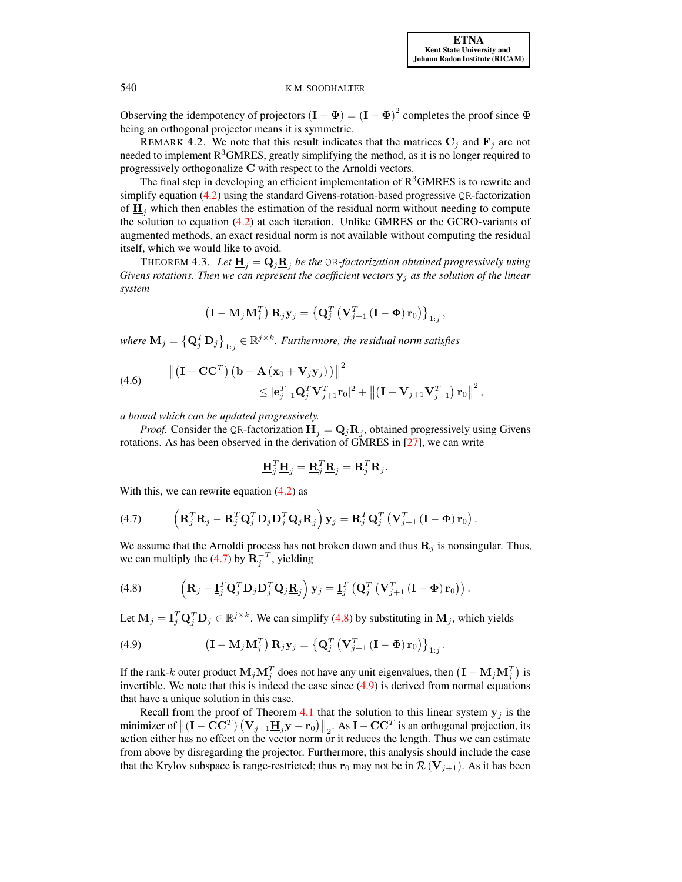Observing the idempotency of projectors  $(I - \Phi) = (I - \Phi)^2$  completes the proof since  $\Phi$ being an orthogonal projector means it is symmetric.

REMARK 4.2. We note that this result indicates that the matrices  $C_i$  and  $F_i$  are not needed to implement  $R<sup>3</sup>GMRES$ , greatly simplifying the method, as it is no longer required to progressively orthogonalize C with respect to the Arnoldi vectors.

The final step in developing an efficient implementation of  $R<sup>3</sup>GMRES$  is to rewrite and simplify equation  $(4.2)$  using the standard Givens-rotation-based progressive QR-factorization of  $\mathbf{H}_i$  which then enables the estimation of the residual norm without needing to compute the solution to equation [\(4.2\)](#page-6-2) at each iteration. Unlike GMRES or the GCRO-variants of augmented methods, an exact residual norm is not available without computing the residual itself, which we would like to avoid.

THEOREM 4.3. Let  $\underline{\mathbf{H}}_j = \mathbf{Q}_j \underline{\mathbf{R}}_j$  be the QR-factorization obtained progressively using *Givens rotations. Then we can represent the coefficient vectors*  $y_j$  *as the solution of the linear system*

$$
\left(\mathbf{I}-\mathbf{M}_{j}\mathbf{M}_{j}^{T}\right)\mathbf{R}_{j}\mathbf{y}_{j}=\left\{ \mathbf{Q}_{j}^{T}\left(\mathbf{V}_{j+1}^{T}\left(\mathbf{I}-\mathbf{\Phi}\right)\mathbf{r}_{0}\right)\right\} _{1:j},
$$

where  $\mathbf{M}_j = \left\{ \mathbf{Q}_j^T \mathbf{D}_j \right\}_{1:j} \in \mathbb{R}^{j \times k}$ *. Furthermore, the residual norm satisfies* 

<span id="page-8-3"></span>(4.6) 
$$
\left\| \begin{pmatrix} \mathbf{I} - \mathbf{C} \mathbf{C}^T \end{pmatrix} \left( \mathbf{b} - \mathbf{A} \left( \mathbf{x}_0 + \mathbf{V}_j \mathbf{y}_j \right) \right) \right\|^2 \leq |\mathbf{e}_{j+1}^T \mathbf{Q}_j^T \mathbf{V}_{j+1}^T \mathbf{r}_0|^2 + \left\| \left( \mathbf{I} - \mathbf{V}_{j+1} \mathbf{V}_{j+1}^T \right) \mathbf{r}_0 \right\|^2,
$$

*a bound which can be updated progressively.*

*Proof.* Consider the QR-factorization  $\underline{\mathbf{H}}_j = \mathbf{Q}_j \underline{\mathbf{R}}_j$ , obtained progressively using Givens rotations. As has been observed in the derivation of GMRES in [\[27\]](#page-14-2), we can write

<span id="page-8-2"></span><span id="page-8-1"></span><span id="page-8-0"></span>
$$
\underline{\mathbf{H}}_j^T \underline{\mathbf{H}}_j = \underline{\mathbf{R}}_j^T \underline{\mathbf{R}}_j = \mathbf{R}_j^T \mathbf{R}_j.
$$

With this, we can rewrite equation  $(4.2)$  as

(4.7) 
$$
\left(\mathbf{R}_j^T\mathbf{R}_j-\underline{\mathbf{R}}_j^T\mathbf{Q}_j^T\mathbf{D}_j\mathbf{D}_j^T\mathbf{Q}_j\underline{\mathbf{R}}_j\right)\mathbf{y}_j=\underline{\mathbf{R}}_j^T\mathbf{Q}_j^T\left(\mathbf{V}_{j+1}^T\left(\mathbf{I}-\mathbf{\Phi}\right)\mathbf{r}_0\right).
$$

We assume that the Arnoldi process has not broken down and thus  $\mathbf{R}_j$  is nonsingular. Thus, we can multiply the [\(4.7\)](#page-8-0) by  $\mathbf{R}_j^{-T}$ , yielding

(4.8) 
$$
\left(\mathbf{R}_j - \mathbf{\underline{I}}_j^T \mathbf{Q}_j^T \mathbf{D}_j \mathbf{D}_j^T \mathbf{Q}_j \mathbf{\underline{R}}_j\right) \mathbf{y}_j = \mathbf{\underline{I}}_j^T \left(\mathbf{Q}_j^T \left(\mathbf{V}_{j+1}^T \left(\mathbf{I} - \mathbf{\Phi}\right) \mathbf{r}_0\right)\right).
$$

Let  $M_j = I_j^T Q_j^T D_j \in \mathbb{R}^{j \times k}$ . We can simplify [\(4.8\)](#page-8-1) by substituting in  $M_j$ , which yields

(4.9) 
$$
\left(\mathbf{I} - \mathbf{M}_j \mathbf{M}_j^T\right) \mathbf{R}_j \mathbf{y}_j = \left\{ \mathbf{Q}_j^T \left( \mathbf{V}_{j+1}^T \left( \mathbf{I} - \mathbf{\Phi} \right) \mathbf{r}_0 \right) \right\}_{1:j}.
$$

If the rank-k outer product  $M_j M_j^T$  does not have any unit eigenvalues, then  $(I - M_j M_j^T)$  is invertible. We note that this is indeed the case since  $(4.9)$  is derived from normal equations that have a unique solution in this case.

Recall from the proof of Theorem [4.1](#page-6-3) that the solution to this linear system  $y_j$  is the minimizer of  $\left\| \left( \mathbf{I} - \mathbf{C} \mathbf{C}^T \right) \left( \mathbf{V}_{j+1} \underline{\mathbf{H}}_j \mathbf{y} - \mathbf{r}_0 \right) \right\|_2$ . As  $\mathbf{I} - \mathbf{C} \mathbf{C}^T$  is an orthogonal projection, its action either has no effect on the vector norm or it reduces the length. Thus we can estimate from above by disregarding the projector. Furthermore, this analysis should include the case that the Krylov subspace is range-restricted; thus  $\mathbf{r}_0$  may not be in  $\mathcal{R}(\mathbf{V}_{j+1})$ . As it has been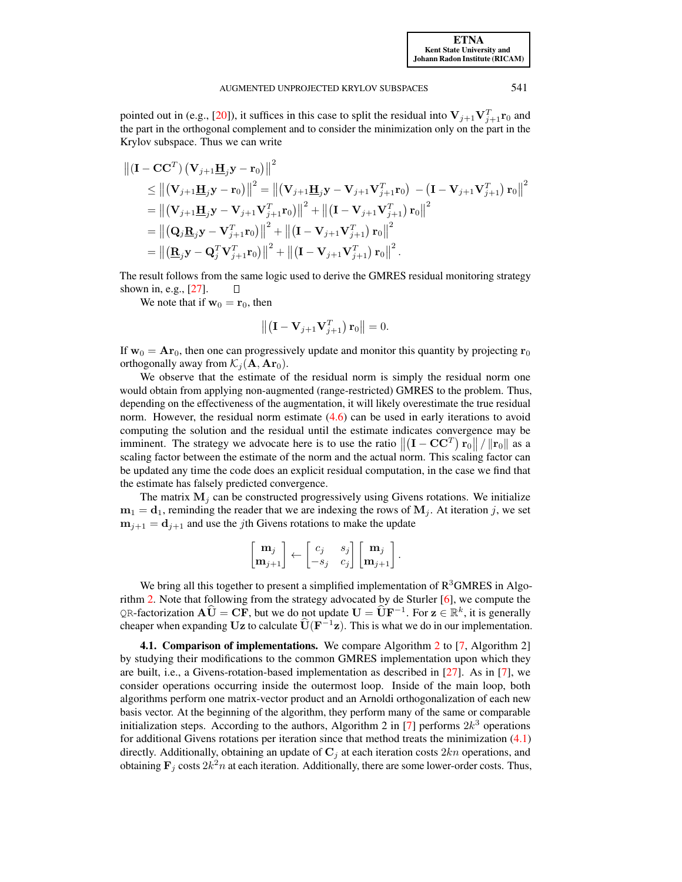pointed out in (e.g., [\[20\]](#page-14-4)), it suffices in this case to split the residual into  $V_{j+1}V_{j+1}^T r_0$  and the part in the orthogonal complement and to consider the minimization only on the part in the Krylov subspace. Thus we can write

$$
\begin{split} \left\| \left( \mathbf{I} - \mathbf{C} \mathbf{C}^{T} \right) \left( \mathbf{V}_{j+1} \mathbf{H}_{j} \mathbf{y} - \mathbf{r}_{0} \right) \right\|^{2} \\ &\leq \left\| \left( \mathbf{V}_{j+1} \mathbf{H}_{j} \mathbf{y} - \mathbf{r}_{0} \right) \right\|^{2} = \left\| \left( \mathbf{V}_{j+1} \mathbf{H}_{j} \mathbf{y} - \mathbf{V}_{j+1} \mathbf{V}_{j+1}^{T} \mathbf{r}_{0} \right) - \left( \mathbf{I} - \mathbf{V}_{j+1} \mathbf{V}_{j+1}^{T} \right) \mathbf{r}_{0} \right\|^{2} \\ & = \left\| \left( \mathbf{V}_{j+1} \mathbf{H}_{j} \mathbf{y} - \mathbf{V}_{j+1} \mathbf{V}_{j+1}^{T} \mathbf{r}_{0} \right) \right\|^{2} + \left\| \left( \mathbf{I} - \mathbf{V}_{j+1} \mathbf{V}_{j+1}^{T} \right) \mathbf{r}_{0} \right\|^{2} \\ & = \left\| \left( \mathbf{Q}_{j} \mathbf{B}_{j} \mathbf{y} - \mathbf{V}_{j+1}^{T} \mathbf{r}_{0} \right) \right\|^{2} + \left\| \left( \mathbf{I} - \mathbf{V}_{j+1} \mathbf{V}_{j+1}^{T} \right) \mathbf{r}_{0} \right\|^{2} \\ & = \left\| \left( \mathbf{B}_{j} \mathbf{y} - \mathbf{Q}_{j}^{T} \mathbf{V}_{j+1}^{T} \mathbf{r}_{0} \right) \right\|^{2} + \left\| \left( \mathbf{I} - \mathbf{V}_{j+1} \mathbf{V}_{j+1}^{T} \right) \mathbf{r}_{0} \right\|^{2} .\end{split}
$$

The result follows from the same logic used to derive the GMRES residual monitoring strategy shown in, e.g., [\[27\]](#page-14-2).  $\Box$ 

We note that if  $w_0 = r_0$ , then

$$
\left\| \left( \mathbf{I} - \mathbf{V}_{j+1} \mathbf{V}_{j+1}^T \right) \mathbf{r}_0 \right\| = 0.
$$

If  $w_0 = Ar_0$ , then one can progressively update and monitor this quantity by projecting  $r_0$ orthogonally away from  $\mathcal{K}_i(\mathbf{A}, \mathbf{Ar}_0)$ .

We observe that the estimate of the residual norm is simply the residual norm one would obtain from applying non-augmented (range-restricted) GMRES to the problem. Thus, depending on the effectiveness of the augmentation, it will likely overestimate the true residual norm. However, the residual norm estimate  $(4.6)$  can be used in early iterations to avoid computing the solution and the residual until the estimate indicates convergence may be imminent. The strategy we advocate here is to use the ratio  $\left\| \left( \mathbf{I} - \mathbf{C} \mathbf{C}^T \right) \mathbf{r}_0 \right\| / \left\| \mathbf{r}_0 \right\|$  as a scaling factor between the estimate of the norm and the actual norm. This scaling factor can be updated any time the code does an explicit residual computation, in the case we find that the estimate has falsely predicted convergence.

The matrix  $M_i$  can be constructed progressively using Givens rotations. We initialize  $m_1 = d_1$ , reminding the reader that we are indexing the rows of  $M_i$ . At iteration j, we set  $m_{j+1} = d_{j+1}$  and use the jth Givens rotations to make the update

$$
\begin{bmatrix} \mathbf{m}_j \\ \mathbf{m}_{j+1} \end{bmatrix} \leftarrow \begin{bmatrix} c_j & s_j \\ -s_j & c_j \end{bmatrix} \begin{bmatrix} \mathbf{m}_j \\ \mathbf{m}_{j+1} \end{bmatrix}.
$$

We bring all this together to present a simplified implementation of  $R<sup>3</sup>GMRES$  in Algorithm [2.](#page-10-0) Note that following from the strategy advocated by de Sturler [\[6\]](#page-13-17), we compute the QR-factorization  $\widehat{\mathbf{A}}\widehat{\mathbf{U}} = \mathbf{C}\mathbf{F}$ , but we do not update  $\mathbf{U} = \widehat{\mathbf{U}}\mathbf{F}^{-1}$ . For  $\mathbf{z} \in \mathbb{R}^k$ , it is generally cheaper when expanding Uz to calculate  $\widehat{\mathbf{U}}(\mathbf{F}^{-1}\mathbf{z})$ . This is what we do in our implementation.

**4.1. Comparison of implementations.** We compare Algorithm [2](#page-10-0) to  $[7,$  Algorithm 2 $]$ by studying their modifications to the common GMRES implementation upon which they are built, i.e., a Givens-rotation-based implementation as described in [\[27\]](#page-14-2). As in [\[7\]](#page-13-1), we consider operations occurring inside the outermost loop. Inside of the main loop, both algorithms perform one matrix-vector product and an Arnoldi orthogonalization of each new basis vector. At the beginning of the algorithm, they perform many of the same or comparable initialization steps. According to the authors, Algorithm 2 in [\[7\]](#page-13-1) performs  $2k^3$  operations for additional Givens rotations per iteration since that method treats the minimization [\(4.1\)](#page-6-0) directly. Additionally, obtaining an update of  $\mathbf{C}_j$  at each iteration costs  $2kn$  operations, and obtaining  $\mathbf{F}_j$  costs  $2k^2n$  at each iteration. Additionally, there are some lower-order costs. Thus,

[ETNA](http://etna.ricam.oeaw.ac.at) [Kent State University and](http://www.kent.edu) [Johann Radon Institute \(RICAM\)](http://www.ricam.oeaw.ac.at)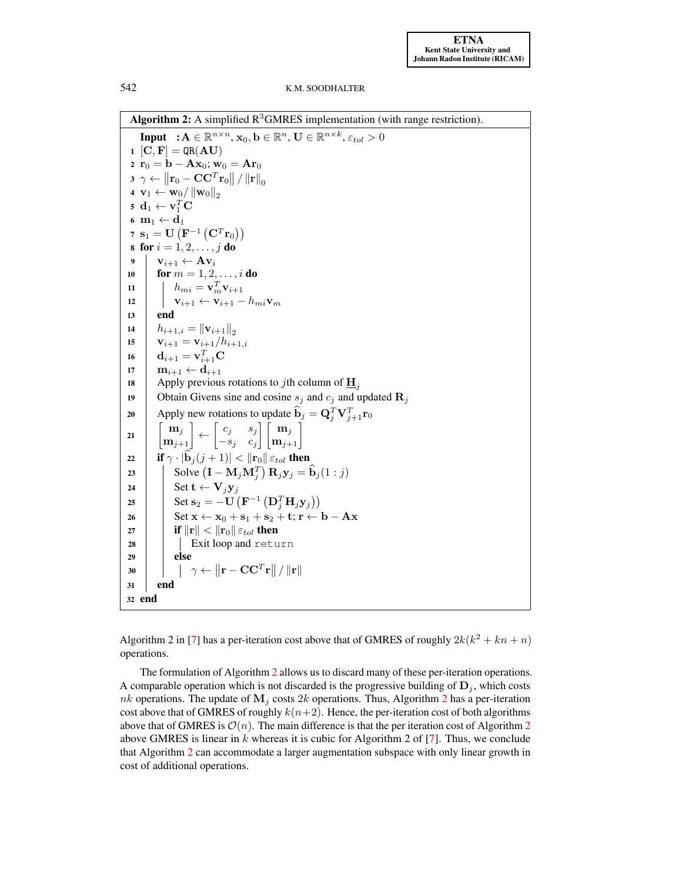Algorithm 2: A simplified  $R^3$ GMRES implementation (with range restriction).

<span id="page-10-0"></span>**Input**  $: A \in \mathbb{R}^{n \times n}$ ,  $\mathbf{x}_0, \mathbf{b} \in \mathbb{R}^n$ ,  $\mathbf{U} \in \mathbb{R}^{n \times k}$ ,  $\varepsilon_{tol} > 0$  $1 [C, F] = QR(AU)$ 2  $r_0 = b - Ax_0$ ;  $w_0 = Ar_0$  $\begin{aligned} \mathbf{3} \enspace \gamma \leftarrow \left\| \mathbf{r}_0 - \mathbf{C} \mathbf{C}^T \mathbf{r}_0 \right\| / \left\| \mathbf{r} \right\|_0 \end{aligned}$ 4  $\mathbf{v}_1 \leftarrow \mathbf{w}_0 / \|\mathbf{w}_0\|_2$  $\mathbf{5} \ \mathbf{d}_1 \leftarrow \mathbf{v}_1^T \mathbf{C}$ 6  $m_1 \leftarrow d_1$  $\mathbf{y} \; \mathbf{s}_1 = \mathbf{U}\left(\mathbf{F}^{-1}\left(\mathbf{C}^{T} \mathbf{r}_0\right)\right)$ 8 for  $i = 1, 2, ..., j$  do 9  $\mathbf{v}_{i+1} \leftarrow \mathbf{A} \mathbf{v}_i$ 10 **for**  $m = 1, 2, ..., i$  **do** 11  $h_{mi} = \mathbf{v}_m^T \mathbf{v}_{i+1}$ 12  $\vert \mathbf{v}_{i+1} \leftarrow \mathbf{v}_{i+1} - h_{mi} \mathbf{v}_m$ 13 end 14  $\begin{array}{c} h_{i+1,i} = ||\mathbf{v}_{i+1}||_2 \\ \mathbf{v}_{i+1} = \mathbf{v}_{i+1}/h_{i+1} \end{array}$  $\mathbf{v}_{i+1} = \mathbf{v}_{i+1} / h_{i+1,i}$ 16  $\mathbf{d}_{i+1} = \mathbf{v}_{i+1}^T \mathbf{C}$ 17  $m_{i+1} \leftarrow d_{i+1}$ 18 Apply previous rotations to jth column of  $\mathbf{H}_i$ 19 Obtain Givens sine and cosine  $s_j$  and  $c_j$  and updated  $\mathbf{R}_j$ 20 Apply new rotations to update  $\mathbf{b}_j = \mathbf{Q}_j^T \mathbf{V}_{j+1}^T \mathbf{r}_0$ <sup>21</sup>  $m_i$  $|\mathbf{m}_{i+1}|$  $\leftarrow \begin{bmatrix} c_j & s_j \end{bmatrix}$  $-s_j$   $c_j$  $\left\lceil \frac{\mathbf{m}_j}{\mathbf{m}_{j+1}} \right\rceil$ 22 if  $\gamma \cdot |\hat{\mathbf{b}}_j(j+1)| < ||\mathbf{r}_0|| \varepsilon_{tol}$  then<br>
23 Solve  $(\mathbf{I} - \mathbf{M}_j \mathbf{M}_j^T) \mathbf{R}_j \mathbf{y}_j = 1$ 23 Solve  $(\mathbf{I} - \mathbf{M}_j \mathbf{M}_j^T) \mathbf{R}_j \mathbf{y}_j = \widehat{\mathbf{b}}_j (1:j)$ 24 Set t  $\leftarrow$   $V_jV_j$ 25  $\left| \quad \right|$  Set  $\mathbf{s}_2 = -\mathbf{U}\left( \mathbf{F}^{-1}\left( \mathbf{D}_j^T \mathbf{H}_j \mathbf{y}_j \right) \right)$ 26 Set  $x \leftarrow x_0 + s_1 + s_2 + t$ ;  $r \leftarrow b - Ax$ 27 **if**  $\|\mathbf{r}\| < \|\mathbf{r}_0\| \varepsilon_{tol}$  then 28 | | Exit loop and return  $29$  else 30  $\begin{array}{|c|c|c|}\hline \rule{0pt}{12pt}\quad & \gamma \leftarrow & \Vert\mathbf{r} - \mathbf{CC}^T\mathbf{r}\Vert/\left\|\mathbf{r}\right\| \hline \end{array}$ 31 end <sup>32</sup> end

Algorithm 2 in [\[7\]](#page-13-1) has a per-iteration cost above that of GMRES of roughly  $2k(k^2 + kn + n)$ operations.

The formulation of Algorithm [2](#page-10-0) allows us to discard many of these per-iteration operations. A comparable operation which is not discarded is the progressive building of  $D_i$ , which costs nk operations. The update of  $\mathbf{M}_i$  costs [2](#page-10-0)k operations. Thus, Algorithm 2 has a per-iteration cost above that of GMRES of roughly  $k(n+2)$ . Hence, the per-iteration cost of both algorithms above that of GMRES is  $\mathcal{O}(n)$ . The main difference is that the per iteration cost of Algorithm [2](#page-10-0) above GMRES is linear in  $k$  whereas it is cubic for Algorithm 2 of  $[7]$ . Thus, we conclude that Algorithm [2](#page-10-0) can accommodate a larger augmentation subspace with only linear growth in cost of additional operations.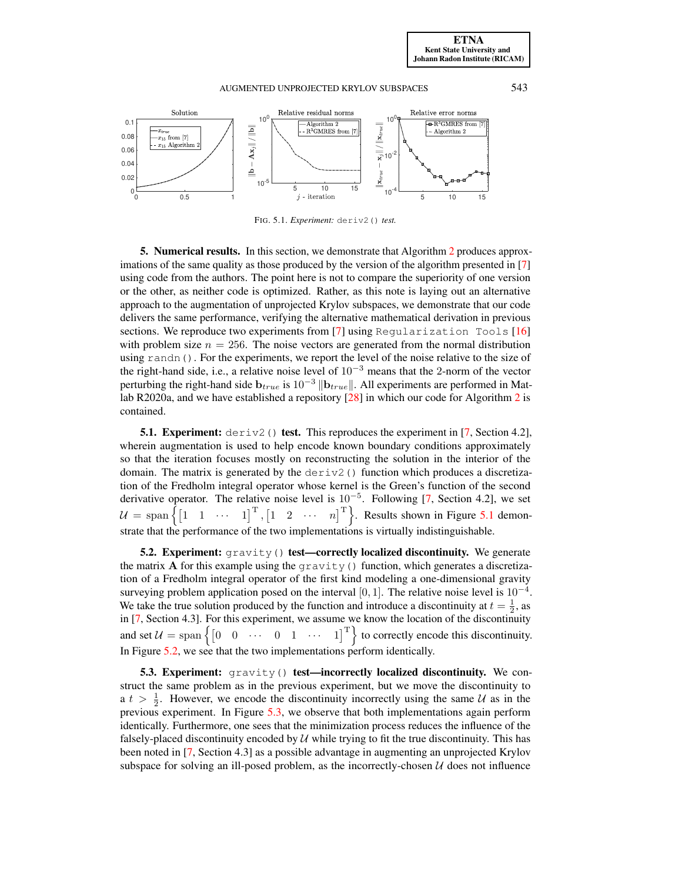

<span id="page-11-1"></span>FIG. 5.1. *Experiment:* deriv2() *test.*

<span id="page-11-0"></span>5. Numerical results. In this section, we demonstrate that Algorithm [2](#page-10-0) produces approximations of the same quality as those produced by the version of the algorithm presented in [\[7\]](#page-13-1) using code from the authors. The point here is not to compare the superiority of one version or the other, as neither code is optimized. Rather, as this note is laying out an alternative approach to the augmentation of unprojected Krylov subspaces, we demonstrate that our code delivers the same performance, verifying the alternative mathematical derivation in previous sections. We reproduce two experiments from [\[7\]](#page-13-1) using Regularization Tools [\[16\]](#page-13-18) with problem size  $n = 256$ . The noise vectors are generated from the normal distribution using randn(). For the experiments, we report the level of the noise relative to the size of the right-hand side, i.e., a relative noise level of  $10^{-3}$  means that the 2-norm of the vector perturbing the right-hand side  $\mathbf{b}_{true}$  is  $10^{-3} || \mathbf{b}_{true} ||$ . All experiments are performed in Matlab R2020a, and we have established a repository [\[28\]](#page-14-9) in which our code for Algorithm [2](#page-10-0) is contained.

**5.1. Experiment:** deriv2() test. This reproduces the experiment in [\[7,](#page-13-1) Section 4.2], wherein augmentation is used to help encode known boundary conditions approximately so that the iteration focuses mostly on reconstructing the solution in the interior of the domain. The matrix is generated by the  $\text{deriv2}($ ) function which produces a discretization of the Fredholm integral operator whose kernel is the Green's function of the second derivative operator. The relative noise level is  $10^{-5}$ . Following [\[7,](#page-13-1) Section 4.2], we set  $\mathcal{U} = \text{span}\left\{ \begin{bmatrix} 1 & 1 & \cdots & 1 \end{bmatrix}^{\text{T}}, \begin{bmatrix} 1 & 2 & \cdots & n \end{bmatrix}^{\text{T}} \right\}$ . Results shown in Figure [5.1](#page-11-1) demonstrate that the performance of the two implementations is virtually indistinguishable.

**5.2.** Experiment:  $\sigma$ ravity() test—correctly localized discontinuity. We generate the matrix **A** for this example using the gravity () function, which generates a discretization of a Fredholm integral operator of the first kind modeling a one-dimensional gravity surveying problem application posed on the interval [0, 1]. The relative noise level is  $10^{-4}$ . We take the true solution produced by the function and introduce a discontinuity at  $t = \frac{1}{2}$ , as in [\[7,](#page-13-1) Section 4.3]. For this experiment, we assume we know the location of the discontinuity at  $t = 2$ . and set  $U = \text{span}\left\{ \begin{bmatrix} 0 & 0 & \cdots & 0 & 1 & \cdots & 1 \end{bmatrix}^T \right\}$  to correctly encode this discontinuity. In Figure [5.2,](#page-12-0) we see that the two implementations perform identically.

5.3. Experiment:  $qrawity()$  test—incorrectly localized discontinuity. We construct the same problem as in the previous experiment, but we move the discontinuity to a  $t > \frac{1}{2}$ . However, we encode the discontinuity incorrectly using the same U as in the previous experiment. In Figure [5.3,](#page-12-1) we observe that both implementations again perform identically. Furthermore, one sees that the minimization process reduces the influence of the falsely-placed discontinuity encoded by  $U$  while trying to fit the true discontinuity. This has been noted in [\[7,](#page-13-1) Section 4.3] as a possible advantage in augmenting an unprojected Krylov subspace for solving an ill-posed problem, as the incorrectly-chosen  $U$  does not influence

[ETNA](http://etna.ricam.oeaw.ac.at) [Kent State University and](http://www.kent.edu) [Johann Radon Institute \(RICAM\)](http://www.ricam.oeaw.ac.at)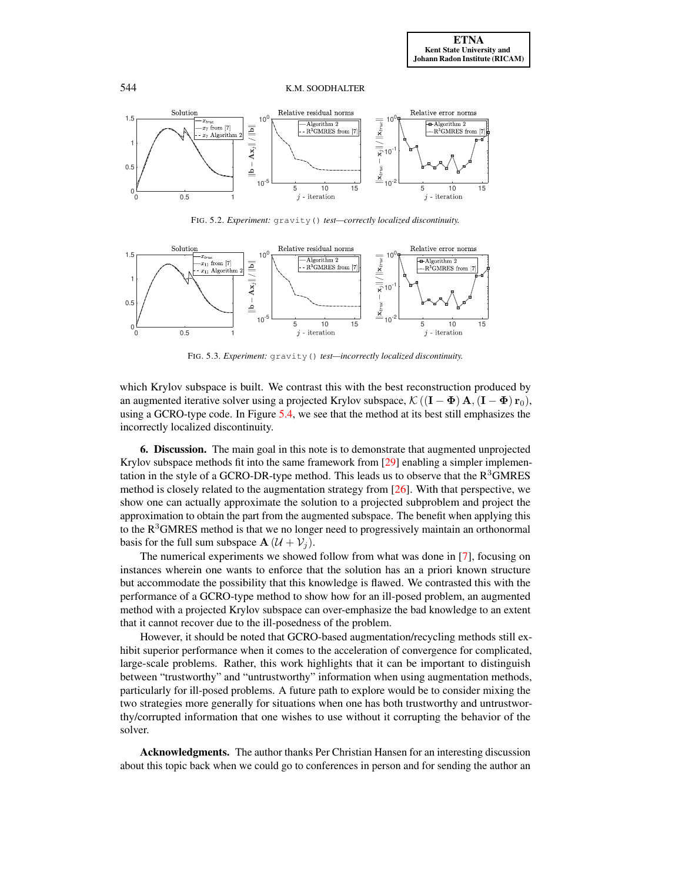

<span id="page-12-0"></span>FIG. 5.2. *Experiment:* gravity() *test—correctly localized discontinuity.*



<span id="page-12-1"></span>FIG. 5.3. *Experiment:* gravity() *test—incorrectly localized discontinuity.*

which Krylov subspace is built. We contrast this with the best reconstruction produced by an augmented iterative solver using a projected Krylov subspace,  $\mathcal{K}((\mathbf{I} - \mathbf{\Phi}) \mathbf{A}, (\mathbf{I} - \mathbf{\Phi}) \mathbf{r}_0)$ , using a GCRO-type code. In Figure [5.4,](#page-13-19) we see that the method at its best still emphasizes the incorrectly localized discontinuity.

6. Discussion. The main goal in this note is to demonstrate that augmented unprojected Krylov subspace methods fit into the same framework from [\[29\]](#page-14-1) enabling a simpler implementation in the style of a GCRO-DR-type method. This leads us to observe that the  $R<sup>3</sup>$ GMRES method is closely related to the augmentation strategy from [\[26\]](#page-14-3). With that perspective, we show one can actually approximate the solution to a projected subproblem and project the approximation to obtain the part from the augmented subspace. The benefit when applying this to the  $R<sup>3</sup>GMRES$  method is that we no longer need to progressively maintain an orthonormal basis for the full sum subspace  $\mathbf{A}$  ( $\mathcal{U} + \mathcal{V}_i$ ).

The numerical experiments we showed follow from what was done in [\[7\]](#page-13-1), focusing on instances wherein one wants to enforce that the solution has an a priori known structure but accommodate the possibility that this knowledge is flawed. We contrasted this with the performance of a GCRO-type method to show how for an ill-posed problem, an augmented method with a projected Krylov subspace can over-emphasize the bad knowledge to an extent that it cannot recover due to the ill-posedness of the problem.

However, it should be noted that GCRO-based augmentation/recycling methods still exhibit superior performance when it comes to the acceleration of convergence for complicated, large-scale problems. Rather, this work highlights that it can be important to distinguish between "trustworthy" and "untrustworthy" information when using augmentation methods, particularly for ill-posed problems. A future path to explore would be to consider mixing the two strategies more generally for situations when one has both trustworthy and untrustworthy/corrupted information that one wishes to use without it corrupting the behavior of the solver.

Acknowledgments. The author thanks Per Christian Hansen for an interesting discussion about this topic back when we could go to conferences in person and for sending the author an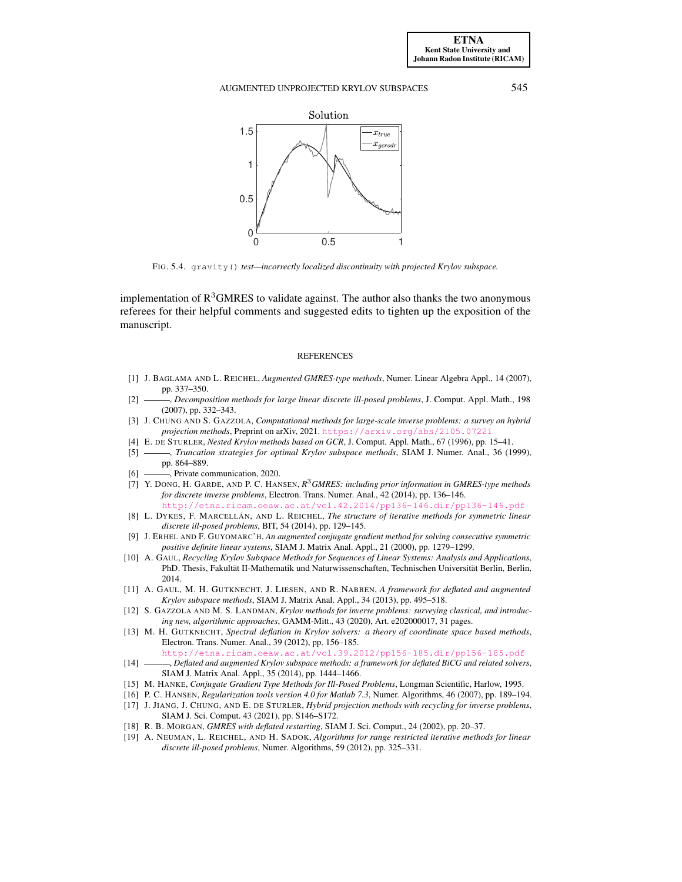

<span id="page-13-19"></span>FIG. 5.4. gravity() *test—incorrectly localized discontinuity with projected Krylov subspace.*

implementation of  $R<sup>3</sup>GMRES$  to validate against. The author also thanks the two anonymous referees for their helpful comments and suggested edits to tighten up the exposition of the manuscript.

#### REFERENCES

- <span id="page-13-10"></span>[1] J. BAGLAMA AND L. REICHEL, *Augmented GMRES-type methods*, Numer. Linear Algebra Appl., 14 (2007), pp. 337–350.
- <span id="page-13-11"></span>[2] , *Decomposition methods for large linear discrete ill-posed problems*, J. Comput. Appl. Math., 198 (2007), pp. 332–343.
- <span id="page-13-3"></span>[3] J. CHUNG AND S. GAZZOLA, *Computational methods for large-scale inverse problems: a survey on hybrid projection methods*, Preprint on arXiv, 2021. <https://arxiv.org/abs/2105.07221>
- <span id="page-13-16"></span>[4] E. DE STURLER, *Nested Krylov methods based on GCR*, J. Comput. Appl. Math., 67 (1996), pp. 15–41.
- <span id="page-13-8"></span>[5] , *Truncation strategies for optimal Krylov subspace methods*, SIAM J. Numer. Anal., 36 (1999), pp. 864–889.
- <span id="page-13-17"></span>[6]  $\longrightarrow$ , Private communication, 2020.
- <span id="page-13-1"></span>[7] Y. DONG, H. GARDE, AND P. C. HANSEN, *R* <sup>3</sup>*GMRES: including prior information in GMRES-type methods for discrete inverse problems*, Electron. Trans. Numer. Anal., 42 (2014), pp. 136–146. <http://etna.ricam.oeaw.ac.at/vol.42.2014/pp136-146.dir/pp136-146.pdf>
- <span id="page-13-6"></span>[8] L. DYKES, F. MARCELLÁN, AND L. REICHEL, *The structure of iterative methods for symmetric linear discrete ill-posed problems*, BIT, 54 (2014), pp. 129–145.
- <span id="page-13-2"></span>[9] J. ERHEL AND F. GUYOMARC'H, *An augmented conjugate gradient method for solving consecutive symmetric positive definite linear systems*, SIAM J. Matrix Anal. Appl., 21 (2000), pp. 1279–1299.
- <span id="page-13-12"></span>[10] A. GAUL, *Recycling Krylov Subspace Methods for Sequences of Linear Systems: Analysis and Applications*, PhD. Thesis, Fakultät II-Mathematik und Naturwissenschaften, Technischen Universität Berlin, Berlin, 2014.
- <span id="page-13-13"></span>[11] A. GAUL, M. H. GUTKNECHT, J. LIESEN, AND R. NABBEN, *A framework for deflated and augmented Krylov subspace methods*, SIAM J. Matrix Anal. Appl., 34 (2013), pp. 495–518.
- <span id="page-13-4"></span>[12] S. GAZZOLA AND M. S. LANDMAN, *Krylov methods for inverse problems: surveying classical, and introducing new, algorithmic approaches*, GAMM-Mitt., 43 (2020), Art. e202000017, 31 pages.
- <span id="page-13-14"></span>[13] M. H. GUTKNECHT, *Spectral deflation in Krylov solvers: a theory of coordinate space based methods*, Electron. Trans. Numer. Anal., 39 (2012), pp. 156–185. <http://etna.ricam.oeaw.ac.at/vol.39.2012/pp156-185.dir/pp156-185.pdf>
- <span id="page-13-15"></span>[14] , *Deflated and augmented Krylov subspace methods: a framework for deflated BiCG and related solvers*, SIAM J. Matrix Anal. Appl., 35 (2014), pp. 1444–1466.
- <span id="page-13-7"></span>[15] M. HANKE, *Conjugate Gradient Type Methods for Ill-Posed Problems*, Longman Scientific, Harlow, 1995.
- <span id="page-13-18"></span>[16] P. C. HANSEN, *Regularization tools version 4.0 for Matlab 7.3*, Numer. Algorithms, 46 (2007), pp. 189–194.
- <span id="page-13-9"></span>[17] J. JIANG, J. CHUNG, AND E. DE STURLER, *Hybrid projection methods with recycling for inverse problems*, SIAM J. Sci. Comput. 43 (2021), pp. S146–S172.
- <span id="page-13-0"></span>[18] R. B. MORGAN, *GMRES with deflated restarting*, SIAM J. Sci. Comput., 24 (2002), pp. 20–37.
- <span id="page-13-5"></span>[19] A. NEUMAN, L. REICHEL, AND H. SADOK, *Algorithms for range restricted iterative methods for linear discrete ill-posed problems*, Numer. Algorithms, 59 (2012), pp. 325–331.